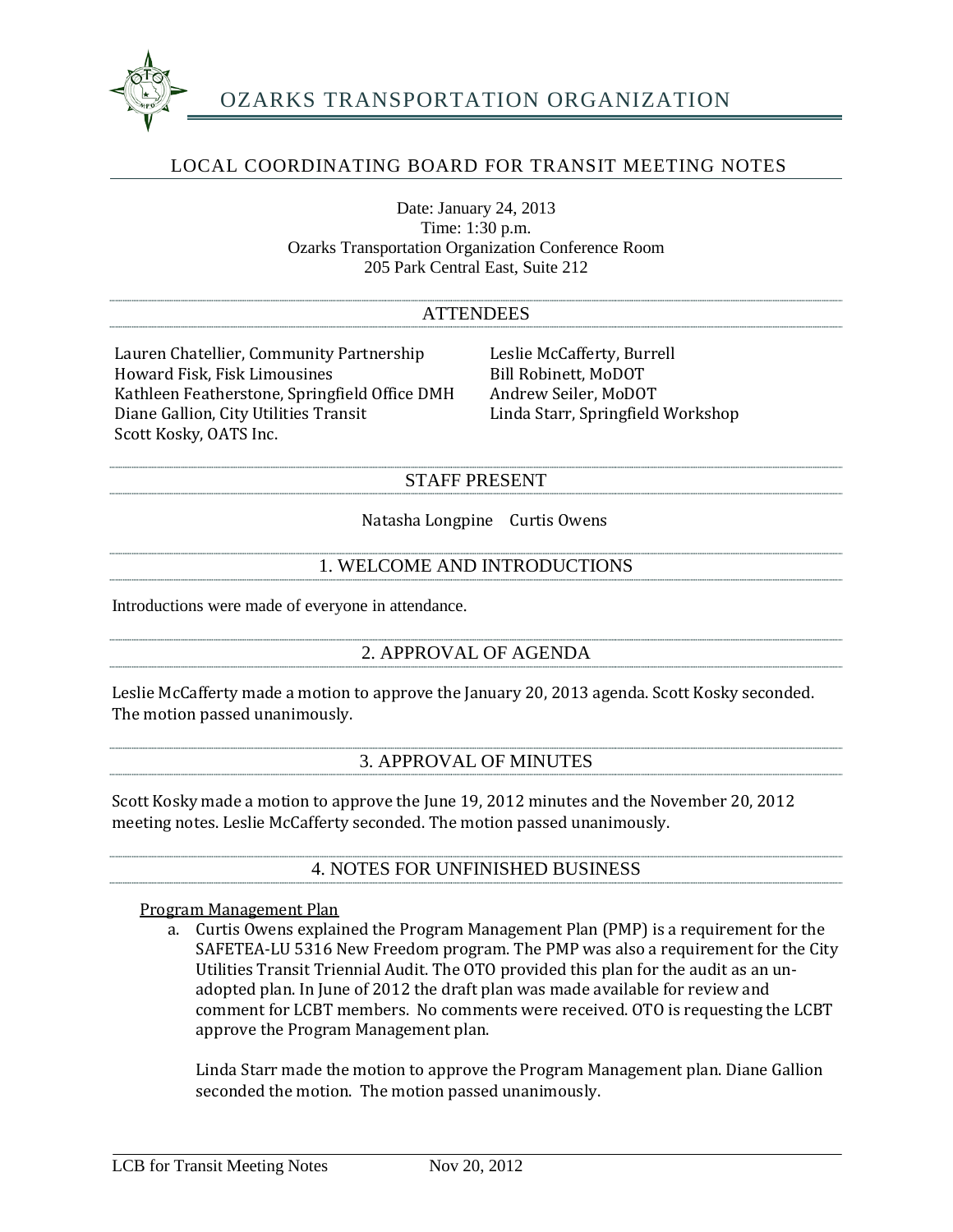

## LOCAL COORDINATING BOARD FOR TRANSIT MEETING NOTES

Date: January 24, 2013 Time: 1:30 p.m. Ozarks Transportation Organization Conference Room 205 Park Central East, Suite 212

#### ATTENDEES

Lauren Chatellier, Community Partnership Leslie McCafferty, Burrell<br>Howard Fisk. Fisk Limousines Bill Robinett. MoDOT Howard Fisk, Fisk Limousines<br>
Kathleen Featherstone, Springfield Office DMH Andrew Seiler, MoDOT Kathleen Featherstone, Springfield Office DMH Andrew Seiler, MoDOT<br>Diane Gallion, City Utilities Transit Linda Starr, Springfield Workshop Diane Gallion, City Utilities Transit Scott Kosky, OATS Inc.

#### STAFF PRESENT

Natasha Longpine Curtis Owens

## 1. WELCOME AND INTRODUCTIONS

Introductions were made of everyone in attendance.

## 2. APPROVAL OF AGENDA

Leslie McCafferty made a motion to approve the January 20, 2013 agenda. Scott Kosky seconded. The motion passed unanimously.

## 3. APPROVAL OF MINUTES

Scott Kosky made a motion to approve the June 19, 2012 minutes and the November 20, 2012 meeting notes. Leslie McCafferty seconded. The motion passed unanimously.

4. NOTES FOR UNFINISHED BUSINESS

Program Management Plan

a. Curtis Owens explained the Program Management Plan (PMP) is a requirement for the SAFETEA-LU 5316 New Freedom program. The PMP was also a requirement for the City Utilities Transit Triennial Audit. The OTO provided this plan for the audit as an unadopted plan. In June of 2012 the draft plan was made available for review and comment for LCBT members. No comments were received. OTO is requesting the LCBT approve the Program Management plan.

Linda Starr made the motion to approve the Program Management plan. Diane Gallion seconded the motion. The motion passed unanimously.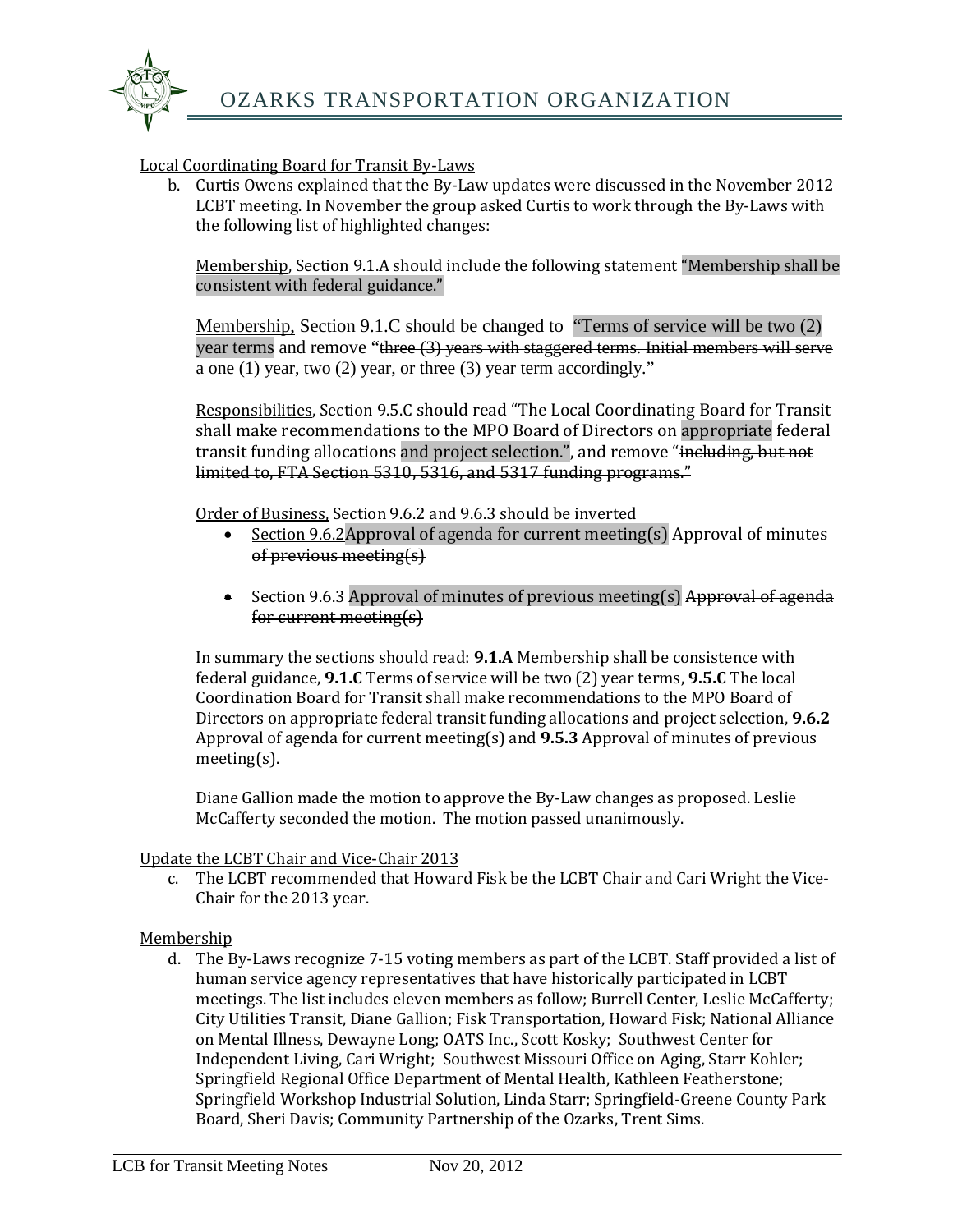

#### Local Coordinating Board for Transit By-Laws

b. Curtis Owens explained that the By-Law updates were discussed in the November 2012 LCBT meeting. In November the group asked Curtis to work through the By-Laws with the following list of highlighted changes:

Membership, Section 9.1.A should include the following statement "Membership shall be consistent with federal guidance."

Membership, Section 9.1.C should be changed to "Terms of service will be two (2) year terms and remove "three (3) years with staggered terms. Initial members will serve a one (1) year, two (2) year, or three (3) year term accordingly."

Responsibilities, Section 9.5.C should read "The Local Coordinating Board for Transit shall make recommendations to the MPO Board of Directors on appropriate federal transit funding allocations and project selection.", and remove "including, but not limited to, FTA Section 5310, 5316, and 5317 funding programs."

Order of Business, Section 9.6.2 and 9.6.3 should be inverted<br>• Section 9.6.2 Approval of agenda for current meeting

- Section 9.6.2Approval of agenda for current meeting(s) Approval of minutes of previous meeting(s)
- Section 9.6.3 Approval of minutes of previous meeting(s) Approval of agenda for current meeting(s)

In summary the sections should read: **9.1.A** Membership shall be consistence with federal guidance, **9.1.C** Terms of service will be two (2) year terms, **9.5.C** The local Coordination Board for Transit shall make recommendations to the MPO Board of Directors on appropriate federal transit funding allocations and project selection, **9.6.2**  Approval of agenda for current meeting(s) and **9.5.3** Approval of minutes of previous meeting(s).

Diane Gallion made the motion to approve the By-Law changes as proposed. Leslie McCafferty seconded the motion. The motion passed unanimously.

Update the LCBT Chair and Vice-Chair 2013

c. The LCBT recommended that Howard Fisk be the LCBT Chair and Cari Wright the Vice-Chair for the 2013 year.

#### Membership

d. The By-Laws recognize 7-15 voting members as part of the LCBT. Staff provided a list of human service agency representatives that have historically participated in LCBT meetings. The list includes eleven members as follow; Burrell Center, Leslie McCafferty; City Utilities Transit, Diane Gallion; Fisk Transportation, Howard Fisk; National Alliance on Mental Illness, Dewayne Long; OATS Inc., Scott Kosky; Southwest Center for Independent Living, Cari Wright; Southwest Missouri Office on Aging, Starr Kohler; Springfield Regional Office Department of Mental Health, Kathleen Featherstone; Springfield Workshop Industrial Solution, Linda Starr; Springfield-Greene County Park Board, Sheri Davis; Community Partnership of the Ozarks, Trent Sims.